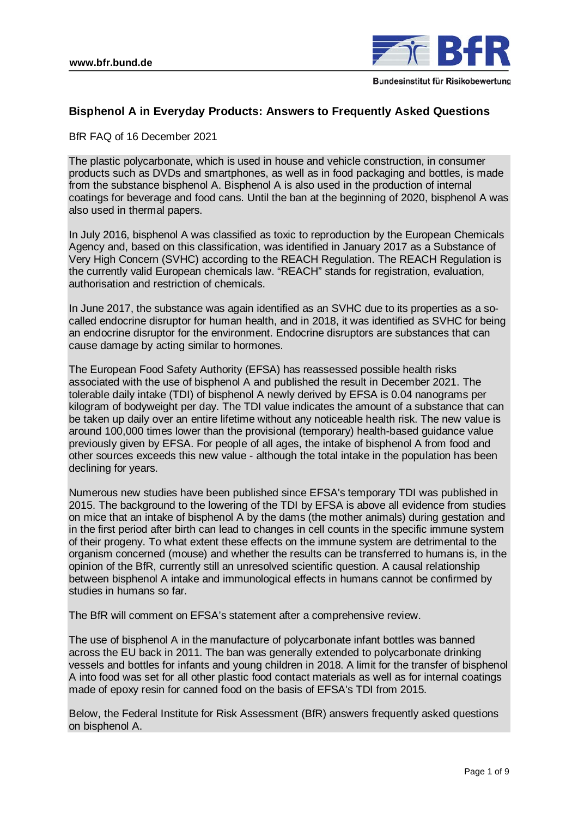

# **Bisphenol A in Everyday Products: Answers to Frequently Asked Questions**

BfR FAQ of 16 December 2021

The plastic polycarbonate, which is used in house and vehicle construction, in consumer products such as DVDs and smartphones, as well as in food packaging and bottles, is made from the substance bisphenol A. Bisphenol A is also used in the production of internal coatings for beverage and food cans. Until the ban at the beginning of 2020, bisphenol A was also used in thermal papers.

In July 2016, bisphenol A was classified as toxic to reproduction by the European Chemicals Agency and, based on this classification, was identified in January 2017 as a Substance of Very High Concern (SVHC) according to the REACH Regulation. The REACH Regulation is the currently valid European chemicals law. "REACH" stands for registration, evaluation, authorisation and restriction of chemicals.

In June 2017, the substance was again identified as an SVHC due to its properties as a socalled endocrine disruptor for human health, and in 2018, it was identified as SVHC for being an endocrine disruptor for the environment. Endocrine disruptors are substances that can cause damage by acting similar to hormones.

The European Food Safety Authority (EFSA) has reassessed possible health risks associated with the use of bisphenol A and published the result in December 2021. The tolerable daily intake (TDI) of bisphenol A newly derived by EFSA is 0.04 nanograms per kilogram of bodyweight per day. The TDI value indicates the amount of a substance that can be taken up daily over an entire lifetime without any noticeable health risk. The new value is around 100,000 times lower than the provisional (temporary) health-based guidance value previously given by EFSA. For people of all ages, the intake of bisphenol A from food and other sources exceeds this new value - although the total intake in the population has been declining for years.

Numerous new studies have been published since EFSA's temporary TDI was published in 2015. The background to the lowering of the TDI by EFSA is above all evidence from studies on mice that an intake of bisphenol A by the dams (the mother animals) during gestation and in the first period after birth can lead to changes in cell counts in the specific immune system of their progeny. To what extent these effects on the immune system are detrimental to the organism concerned (mouse) and whether the results can be transferred to humans is, in the opinion of the BfR, currently still an unresolved scientific question. A causal relationship between bisphenol A intake and immunological effects in humans cannot be confirmed by studies in humans so far.

The BfR will comment on EFSA's statement after a comprehensive review.

The use of bisphenol A in the manufacture of polycarbonate infant bottles was banned across the EU back in 2011. The ban was generally extended to polycarbonate drinking vessels and bottles for infants and young children in 2018. A limit for the transfer of bisphenol A into food was set for all other plastic food contact materials as well as for internal coatings made of epoxy resin for canned food on the basis of EFSA's TDI from 2015.

Below, the Federal Institute for Risk Assessment (BfR) answers frequently asked questions on bisphenol A.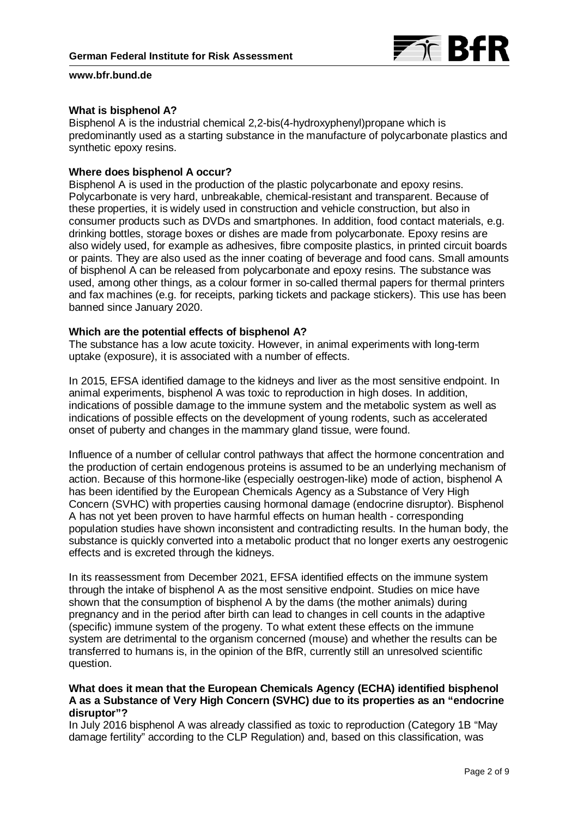

## **What is bisphenol A?**

Bisphenol A is the industrial chemical 2,2-bis(4-hydroxyphenyl)propane which is predominantly used as a starting substance in the manufacture of polycarbonate plastics and synthetic epoxy resins.

# **Where does bisphenol A occur?**

Bisphenol A is used in the production of the plastic polycarbonate and epoxy resins. Polycarbonate is very hard, unbreakable, chemical-resistant and transparent. Because of these properties, it is widely used in construction and vehicle construction, but also in consumer products such as DVDs and smartphones. In addition, food contact materials, e.g. drinking bottles, storage boxes or dishes are made from polycarbonate. Epoxy resins are also widely used, for example as adhesives, fibre composite plastics, in printed circuit boards or paints. They are also used as the inner coating of beverage and food cans. Small amounts of bisphenol A can be released from polycarbonate and epoxy resins. The substance was used, among other things, as a colour former in so-called thermal papers for thermal printers and fax machines (e.g. for receipts, parking tickets and package stickers). This use has been banned since January 2020.

### **Which are the potential effects of bisphenol A?**

The substance has a low acute toxicity. However, in animal experiments with long-term uptake (exposure), it is associated with a number of effects.

In 2015, EFSA identified damage to the kidneys and liver as the most sensitive endpoint. In animal experiments, bisphenol A was toxic to reproduction in high doses. In addition, indications of possible damage to the immune system and the metabolic system as well as indications of possible effects on the development of young rodents, such as accelerated onset of puberty and changes in the mammary gland tissue, were found.

Influence of a number of cellular control pathways that affect the hormone concentration and the production of certain endogenous proteins is assumed to be an underlying mechanism of action. Because of this hormone-like (especially oestrogen-like) mode of action, bisphenol A has been identified by the European Chemicals Agency as a Substance of Very High Concern (SVHC) with properties causing hormonal damage (endocrine disruptor). Bisphenol A has not yet been proven to have harmful effects on human health - corresponding population studies have shown inconsistent and contradicting results. In the human body, the substance is quickly converted into a metabolic product that no longer exerts any oestrogenic effects and is excreted through the kidneys.

In its reassessment from December 2021, EFSA identified effects on the immune system through the intake of bisphenol A as the most sensitive endpoint. Studies on mice have shown that the consumption of bisphenol A by the dams (the mother animals) during pregnancy and in the period after birth can lead to changes in cell counts in the adaptive (specific) immune system of the progeny. To what extent these effects on the immune system are detrimental to the organism concerned (mouse) and whether the results can be transferred to humans is, in the opinion of the BfR, currently still an unresolved scientific question.

# **What does it mean that the European Chemicals Agency (ECHA) identified bisphenol A as a Substance of Very High Concern (SVHC) due to its properties as an "endocrine disruptor"?**

In July 2016 bisphenol A was already classified as toxic to reproduction (Category 1B "May damage fertility" according to the CLP Regulation) and, based on this classification, was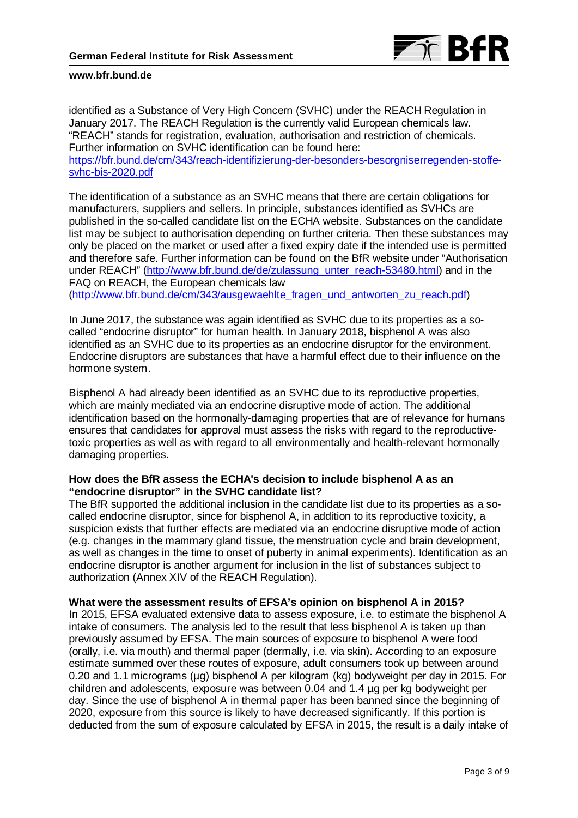

identified as a Substance of Very High Concern (SVHC) under the REACH Regulation in January 2017. The REACH Regulation is the currently valid European chemicals law. "REACH" stands for registration, evaluation, authorisation and restriction of chemicals. Further information on SVHC identification can be found here:

[https://bfr.bund.de/cm/343/reach-identifizierung-der-besonders-besorgniserregenden-stoffe](https://bfr.bund.de/cm/343/reach-identifizierung-der-besonders-besorgniserregenden-stoffe-svhc-bis-2020.pdf)[svhc-bis-2020.pdf](https://bfr.bund.de/cm/343/reach-identifizierung-der-besonders-besorgniserregenden-stoffe-svhc-bis-2020.pdf)

The identification of a substance as an SVHC means that there are certain obligations for manufacturers, suppliers and sellers. In principle, substances identified as SVHCs are published in the so-called candidate list on the ECHA website. Substances on the candidate list may be subject to authorisation depending on further criteria. Then these substances may only be placed on the market or used after a fixed expiry date if the intended use is permitted and therefore safe. Further information can be found on the BfR website under "Authorisation under REACH" [\(http://www.bfr.bund.de/de/zulassung\\_unter\\_reach-53480.html\)](http://www.bfr.bund.de/de/zulassung_unter_reach-53480.html) and in the FAQ on REACH, the European chemicals law [\(http://www.bfr.bund.de/cm/343/ausgewaehlte\\_fragen\\_und\\_antworten\\_zu\\_reach.pdf\)](http://www.bfr.bund.de/cm/343/ausgewaehlte_fragen_und_antworten_zu_reach.pdf)

In June 2017, the substance was again identified as SVHC due to its properties as a socalled "endocrine disruptor" for human health. In January 2018, bisphenol A was also identified as an SVHC due to its properties as an endocrine disruptor for the environment. Endocrine disruptors are substances that have a harmful effect due to their influence on the hormone system.

Bisphenol A had already been identified as an SVHC due to its reproductive properties, which are mainly mediated via an endocrine disruptive mode of action. The additional identification based on the hormonally-damaging properties that are of relevance for humans ensures that candidates for approval must assess the risks with regard to the reproductivetoxic properties as well as with regard to all environmentally and health-relevant hormonally damaging properties.

# **How does the BfR assess the ECHA's decision to include bisphenol A as an "endocrine disruptor" in the SVHC candidate list?**

The BfR supported the additional inclusion in the candidate list due to its properties as a socalled endocrine disruptor, since for bisphenol A, in addition to its reproductive toxicity, a suspicion exists that further effects are mediated via an endocrine disruptive mode of action (e.g. changes in the mammary gland tissue, the menstruation cycle and brain development, as well as changes in the time to onset of puberty in animal experiments). Identification as an endocrine disruptor is another argument for inclusion in the list of substances subject to authorization (Annex XIV of the REACH Regulation).

# **What were the assessment results of EFSA's opinion on bisphenol A in 2015?**

In 2015, EFSA evaluated extensive data to assess exposure, i.e. to estimate the bisphenol A intake of consumers. The analysis led to the result that less bisphenol A is taken up than previously assumed by EFSA. The main sources of exposure to bisphenol A were food (orally, i.e. via mouth) and thermal paper (dermally, i.e. via skin). According to an exposure estimate summed over these routes of exposure, adult consumers took up between around 0.20 and 1.1 micrograms (µg) bisphenol A per kilogram (kg) bodyweight per day in 2015. For children and adolescents, exposure was between 0.04 and 1.4 µg per kg bodyweight per day. Since the use of bisphenol A in thermal paper has been banned since the beginning of 2020, exposure from this source is likely to have decreased significantly. If this portion is deducted from the sum of exposure calculated by EFSA in 2015, the result is a daily intake of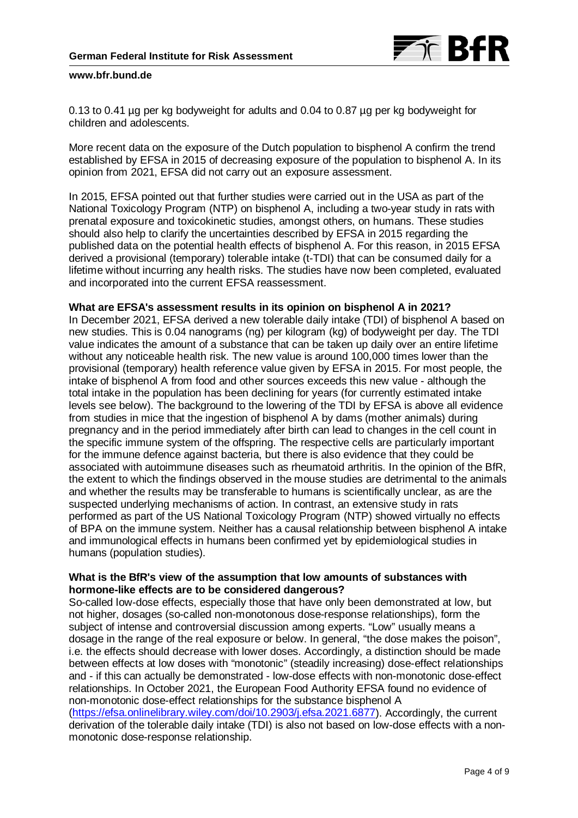

0.13 to 0.41 µg per kg bodyweight for adults and 0.04 to 0.87 µg per kg bodyweight for children and adolescents.

More recent data on the exposure of the Dutch population to bisphenol A confirm the trend established by EFSA in 2015 of decreasing exposure of the population to bisphenol A. In its opinion from 2021, EFSA did not carry out an exposure assessment.

In 2015, EFSA pointed out that further studies were carried out in the USA as part of the National Toxicology Program (NTP) on bisphenol A, including a two-year study in rats with prenatal exposure and toxicokinetic studies, amongst others, on humans. These studies should also help to clarify the uncertainties described by EFSA in 2015 regarding the published data on the potential health effects of bisphenol A. For this reason, in 2015 EFSA derived a provisional (temporary) tolerable intake (t-TDI) that can be consumed daily for a lifetime without incurring any health risks. The studies have now been completed, evaluated and incorporated into the current EFSA reassessment.

## **What are EFSA's assessment results in its opinion on bisphenol A in 2021?**

In December 2021, EFSA derived a new tolerable daily intake (TDI) of bisphenol A based on new studies. This is 0.04 nanograms (ng) per kilogram (kg) of bodyweight per day. The TDI value indicates the amount of a substance that can be taken up daily over an entire lifetime without any noticeable health risk. The new value is around 100,000 times lower than the provisional (temporary) health reference value given by EFSA in 2015. For most people, the intake of bisphenol A from food and other sources exceeds this new value - although the total intake in the population has been declining for years (for currently estimated intake levels see below). The background to the lowering of the TDI by EFSA is above all evidence from studies in mice that the ingestion of bisphenol A by dams (mother animals) during pregnancy and in the period immediately after birth can lead to changes in the cell count in the specific immune system of the offspring. The respective cells are particularly important for the immune defence against bacteria, but there is also evidence that they could be associated with autoimmune diseases such as rheumatoid arthritis. In the opinion of the BfR, the extent to which the findings observed in the mouse studies are detrimental to the animals and whether the results may be transferable to humans is scientifically unclear, as are the suspected underlying mechanisms of action. In contrast, an extensive study in rats performed as part of the US National Toxicology Program (NTP) showed virtually no effects of BPA on the immune system. Neither has a causal relationship between bisphenol A intake and immunological effects in humans been confirmed yet by epidemiological studies in humans (population studies).

# **What is the BfR's view of the assumption that low amounts of substances with hormone-like effects are to be considered dangerous?**

So-called low-dose effects, especially those that have only been demonstrated at low, but not higher, dosages (so-called non-monotonous dose-response relationships), form the subject of intense and controversial discussion among experts. "Low" usually means a dosage in the range of the real exposure or below. In general, "the dose makes the poison", i.e. the effects should decrease with lower doses. Accordingly, a distinction should be made between effects at low doses with "monotonic" (steadily increasing) dose-effect relationships and - if this can actually be demonstrated - low-dose effects with non-monotonic dose-effect relationships. In October 2021, the European Food Authority EFSA found no evidence of non-monotonic dose-effect relationships for the substance bisphenol A [\(https://efsa.onlinelibrary.wiley.com/doi/10.2903/j.efsa.2021.6877\)](https://efsa.onlinelibrary.wiley.com/doi/10.2903/j.efsa.2021.6877). Accordingly, the current derivation of the tolerable daily intake (TDI) is also not based on low-dose effects with a nonmonotonic dose-response relationship.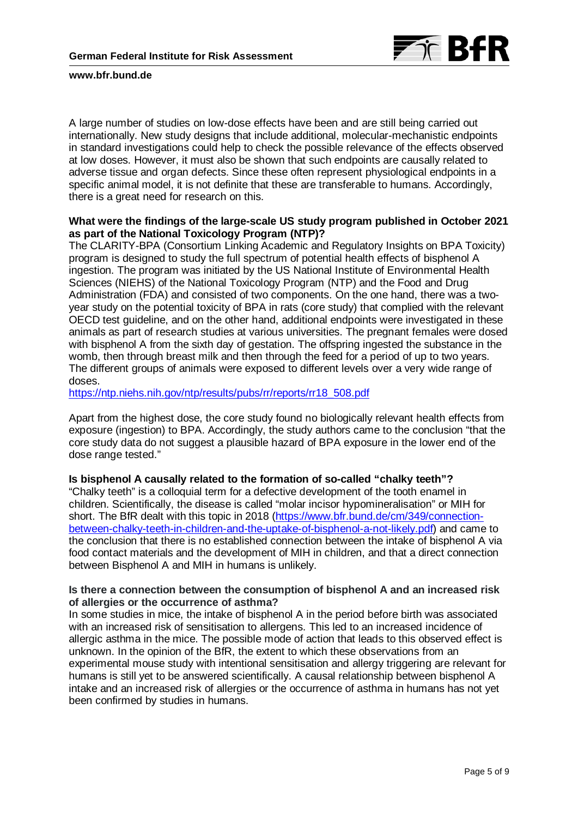

A large number of studies on low-dose effects have been and are still being carried out internationally. New study designs that include additional, molecular-mechanistic endpoints in standard investigations could help to check the possible relevance of the effects observed at low doses. However, it must also be shown that such endpoints are causally related to adverse tissue and organ defects. Since these often represent physiological endpoints in a specific animal model, it is not definite that these are transferable to humans. Accordingly, there is a great need for research on this.

# **What were the findings of the large-scale US study program published in October 2021 as part of the National Toxicology Program (NTP)?**

The CLARITY-BPA (Consortium Linking Academic and Regulatory Insights on BPA Toxicity) program is designed to study the full spectrum of potential health effects of bisphenol A ingestion. The program was initiated by the US National Institute of Environmental Health Sciences (NIEHS) of the National Toxicology Program (NTP) and the Food and Drug Administration (FDA) and consisted of two components. On the one hand, there was a twoyear study on the potential toxicity of BPA in rats (core study) that complied with the relevant OECD test guideline, and on the other hand, additional endpoints were investigated in these animals as part of research studies at various universities. The pregnant females were dosed with bisphenol A from the sixth day of gestation. The offspring ingested the substance in the womb, then through breast milk and then through the feed for a period of up to two years. The different groups of animals were exposed to different levels over a very wide range of doses.

[https://ntp.niehs.nih.gov/ntp/results/pubs/rr/reports/rr18\\_508.pdf](https://ntp.niehs.nih.gov/ntp/results/pubs/rr/reports/rr18_508.pdf)

Apart from the highest dose, the core study found no biologically relevant health effects from exposure (ingestion) to BPA. Accordingly, the study authors came to the conclusion "that the core study data do not suggest a plausible hazard of BPA exposure in the lower end of the dose range tested."

### **Is bisphenol A causally related to the formation of so-called "chalky teeth"?**

"Chalky teeth" is a colloquial term for a defective development of the tooth enamel in children. Scientifically, the disease is called "molar incisor hypomineralisation" or MIH for short. The BfR dealt with this topic in 2018 [\(https://www.bfr.bund.de/cm/349/connection](https://www.bfr.bund.de/cm/349/connection-between-chalky-teeth-in-children-and-the-uptake-of-bisphenol-a-not-likely.pdf)[between-chalky-teeth-in-children-and-the-uptake-of-bisphenol-a-not-likely.pdf\)](https://www.bfr.bund.de/cm/349/connection-between-chalky-teeth-in-children-and-the-uptake-of-bisphenol-a-not-likely.pdf) and came to the conclusion that there is no established connection between the intake of bisphenol A via food contact materials and the development of MIH in children, and that a direct connection between Bisphenol A and MIH in humans is unlikely.

# **Is there a connection between the consumption of bisphenol A and an increased risk of allergies or the occurrence of asthma?**

In some studies in mice, the intake of bisphenol A in the period before birth was associated with an increased risk of sensitisation to allergens. This led to an increased incidence of allergic asthma in the mice. The possible mode of action that leads to this observed effect is unknown. In the opinion of the BfR, the extent to which these observations from an experimental mouse study with intentional sensitisation and allergy triggering are relevant for humans is still yet to be answered scientifically. A causal relationship between bisphenol A intake and an increased risk of allergies or the occurrence of asthma in humans has not yet been confirmed by studies in humans.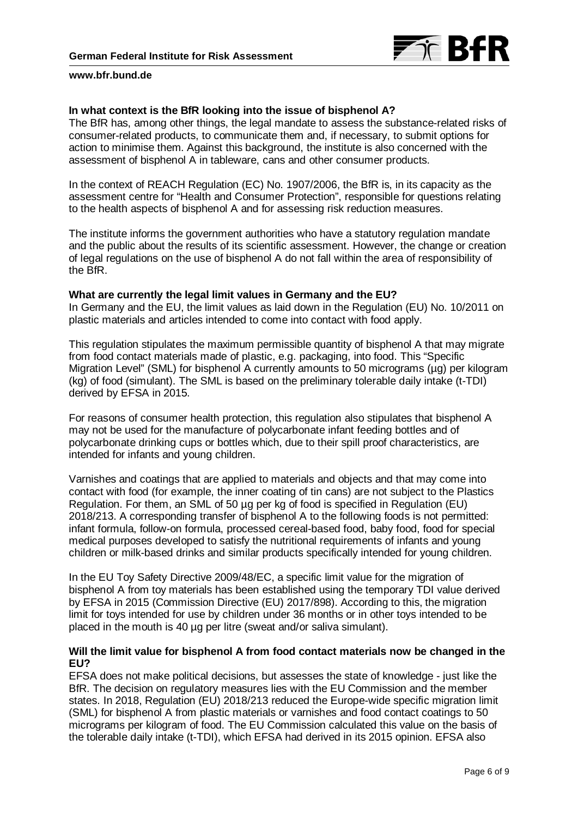

## **In what context is the BfR looking into the issue of bisphenol A?**

The BfR has, among other things, the legal mandate to assess the substance-related risks of consumer-related products, to communicate them and, if necessary, to submit options for action to minimise them. Against this background, the institute is also concerned with the assessment of bisphenol A in tableware, cans and other consumer products.

In the context of REACH Regulation (EC) No. 1907/2006, the BfR is, in its capacity as the assessment centre for "Health and Consumer Protection", responsible for questions relating to the health aspects of bisphenol A and for assessing risk reduction measures.

The institute informs the government authorities who have a statutory regulation mandate and the public about the results of its scientific assessment. However, the change or creation of legal regulations on the use of bisphenol A do not fall within the area of responsibility of the BfR.

### **What are currently the legal limit values in Germany and the EU?**

In Germany and the EU, the limit values as laid down in the Regulation (EU) No. 10/2011 on plastic materials and articles intended to come into contact with food apply.

This regulation stipulates the maximum permissible quantity of bisphenol A that may migrate from food contact materials made of plastic, e.g. packaging, into food. This "Specific Migration Level" (SML) for bisphenol A currently amounts to 50 micrograms (µg) per kilogram (kg) of food (simulant). The SML is based on the preliminary tolerable daily intake (t-TDI) derived by EFSA in 2015.

For reasons of consumer health protection, this regulation also stipulates that bisphenol A may not be used for the manufacture of polycarbonate infant feeding bottles and of polycarbonate drinking cups or bottles which, due to their spill proof characteristics, are intended for infants and young children.

Varnishes and coatings that are applied to materials and objects and that may come into contact with food (for example, the inner coating of tin cans) are not subject to the Plastics Regulation. For them, an SML of 50 µg per kg of food is specified in Regulation (EU) 2018/213. A corresponding transfer of bisphenol A to the following foods is not permitted: infant formula, follow-on formula, processed cereal-based food, baby food, food for special medical purposes developed to satisfy the nutritional requirements of infants and young children or milk-based drinks and similar products specifically intended for young children.

In the EU Toy Safety Directive 2009/48/EC, a specific limit value for the migration of bisphenol A from toy materials has been established using the temporary TDI value derived by EFSA in 2015 (Commission Directive (EU) 2017/898). According to this, the migration limit for toys intended for use by children under 36 months or in other toys intended to be placed in the mouth is 40 µg per litre (sweat and/or saliva simulant).

# **Will the limit value for bisphenol A from food contact materials now be changed in the EU?**

EFSA does not make political decisions, but assesses the state of knowledge - just like the BfR. The decision on regulatory measures lies with the EU Commission and the member states. In 2018, Regulation (EU) 2018/213 reduced the Europe-wide specific migration limit (SML) for bisphenol A from plastic materials or varnishes and food contact coatings to 50 micrograms per kilogram of food. The EU Commission calculated this value on the basis of the tolerable daily intake (t-TDI), which EFSA had derived in its 2015 opinion. EFSA also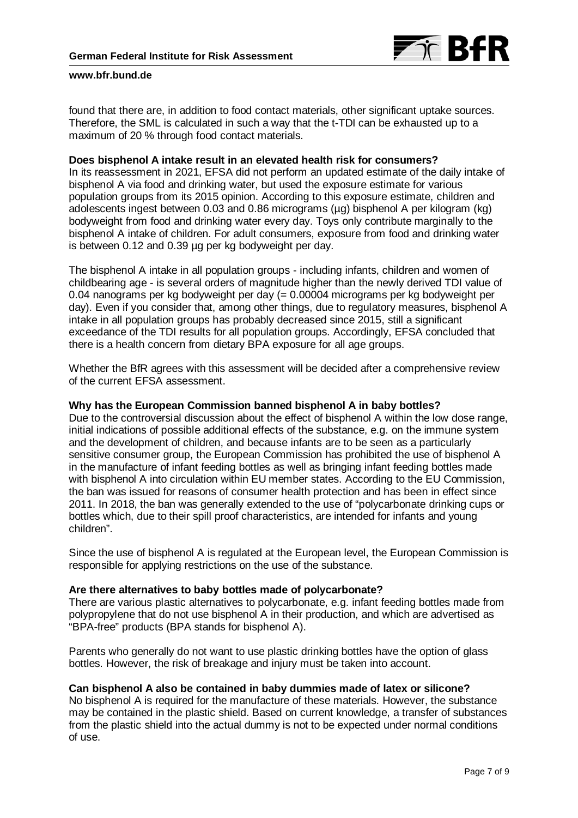

found that there are, in addition to food contact materials, other significant uptake sources. Therefore, the SML is calculated in such a way that the t-TDI can be exhausted up to a maximum of 20 % through food contact materials.

### **Does bisphenol A intake result in an elevated health risk for consumers?**

In its reassessment in 2021, EFSA did not perform an updated estimate of the daily intake of bisphenol A via food and drinking water, but used the exposure estimate for various population groups from its 2015 opinion. According to this exposure estimate, children and adolescents ingest between 0.03 and 0.86 micrograms (µg) bisphenol A per kilogram (kg) bodyweight from food and drinking water every day. Toys only contribute marginally to the bisphenol A intake of children. For adult consumers, exposure from food and drinking water is between 0.12 and 0.39 µg per kg bodyweight per day.

The bisphenol A intake in all population groups - including infants, children and women of childbearing age - is several orders of magnitude higher than the newly derived TDI value of 0.04 nanograms per kg bodyweight per day (= 0.00004 micrograms per kg bodyweight per day). Even if you consider that, among other things, due to regulatory measures, bisphenol A intake in all population groups has probably decreased since 2015, still a significant exceedance of the TDI results for all population groups. Accordingly, EFSA concluded that there is a health concern from dietary BPA exposure for all age groups.

Whether the BfR agrees with this assessment will be decided after a comprehensive review of the current EFSA assessment.

## **Why has the European Commission banned bisphenol A in baby bottles?**

Due to the controversial discussion about the effect of bisphenol A within the low dose range, initial indications of possible additional effects of the substance, e.g. on the immune system and the development of children, and because infants are to be seen as a particularly sensitive consumer group, the European Commission has prohibited the use of bisphenol A in the manufacture of infant feeding bottles as well as bringing infant feeding bottles made with bisphenol A into circulation within EU member states. According to the EU Commission, the ban was issued for reasons of consumer health protection and has been in effect since 2011. In 2018, the ban was generally extended to the use of "polycarbonate drinking cups or bottles which, due to their spill proof characteristics, are intended for infants and young children".

Since the use of bisphenol A is regulated at the European level, the European Commission is responsible for applying restrictions on the use of the substance.

### **Are there alternatives to baby bottles made of polycarbonate?**

There are various plastic alternatives to polycarbonate, e.g. infant feeding bottles made from polypropylene that do not use bisphenol A in their production, and which are advertised as "BPA-free" products (BPA stands for bisphenol A).

Parents who generally do not want to use plastic drinking bottles have the option of glass bottles. However, the risk of breakage and injury must be taken into account.

## **Can bisphenol A also be contained in baby dummies made of latex or silicone?**

No bisphenol A is required for the manufacture of these materials. However, the substance may be contained in the plastic shield. Based on current knowledge, a transfer of substances from the plastic shield into the actual dummy is not to be expected under normal conditions of use.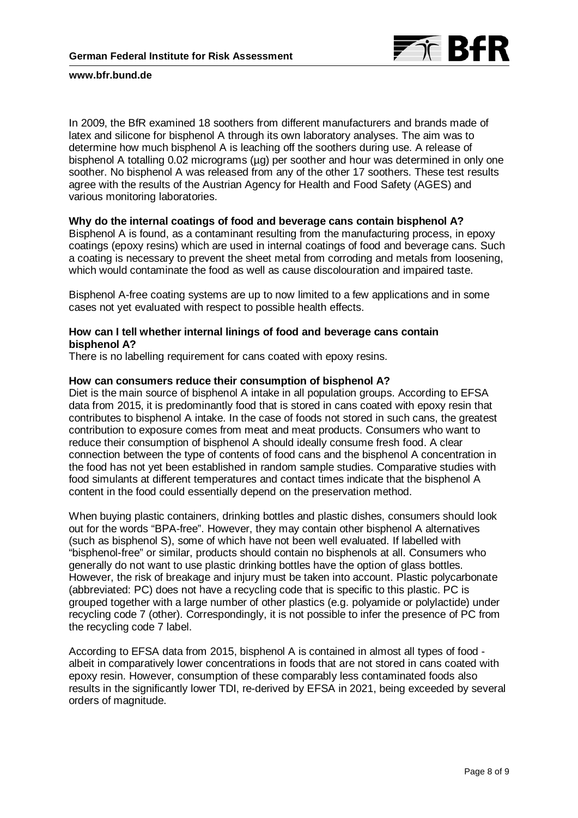

In 2009, the BfR examined 18 soothers from different manufacturers and brands made of latex and silicone for bisphenol A through its own laboratory analyses. The aim was to determine how much bisphenol A is leaching off the soothers during use. A release of bisphenol A totalling 0.02 micrograms (µg) per soother and hour was determined in only one soother. No bisphenol A was released from any of the other 17 soothers. These test results agree with the results of the Austrian Agency for Health and Food Safety (AGES) and various monitoring laboratories.

## **Why do the internal coatings of food and beverage cans contain bisphenol A?**

Bisphenol A is found, as a contaminant resulting from the manufacturing process, in epoxy coatings (epoxy resins) which are used in internal coatings of food and beverage cans. Such a coating is necessary to prevent the sheet metal from corroding and metals from loosening, which would contaminate the food as well as cause discolouration and impaired taste.

Bisphenol A-free coating systems are up to now limited to a few applications and in some cases not yet evaluated with respect to possible health effects.

# **How can I tell whether internal linings of food and beverage cans contain bisphenol A?**

There is no labelling requirement for cans coated with epoxy resins.

## **How can consumers reduce their consumption of bisphenol A?**

Diet is the main source of bisphenol A intake in all population groups. According to EFSA data from 2015, it is predominantly food that is stored in cans coated with epoxy resin that contributes to bisphenol A intake. In the case of foods not stored in such cans, the greatest contribution to exposure comes from meat and meat products. Consumers who want to reduce their consumption of bisphenol A should ideally consume fresh food. A clear connection between the type of contents of food cans and the bisphenol A concentration in the food has not yet been established in random sample studies. Comparative studies with food simulants at different temperatures and contact times indicate that the bisphenol A content in the food could essentially depend on the preservation method.

When buying plastic containers, drinking bottles and plastic dishes, consumers should look out for the words "BPA-free". However, they may contain other bisphenol A alternatives (such as bisphenol S), some of which have not been well evaluated. If labelled with "bisphenol-free" or similar, products should contain no bisphenols at all. Consumers who generally do not want to use plastic drinking bottles have the option of glass bottles. However, the risk of breakage and injury must be taken into account. Plastic polycarbonate (abbreviated: PC) does not have a recycling code that is specific to this plastic. PC is grouped together with a large number of other plastics (e.g. polyamide or polylactide) under recycling code 7 (other). Correspondingly, it is not possible to infer the presence of PC from the recycling code 7 label.

According to EFSA data from 2015, bisphenol A is contained in almost all types of food albeit in comparatively lower concentrations in foods that are not stored in cans coated with epoxy resin. However, consumption of these comparably less contaminated foods also results in the significantly lower TDI, re-derived by EFSA in 2021, being exceeded by several orders of magnitude.